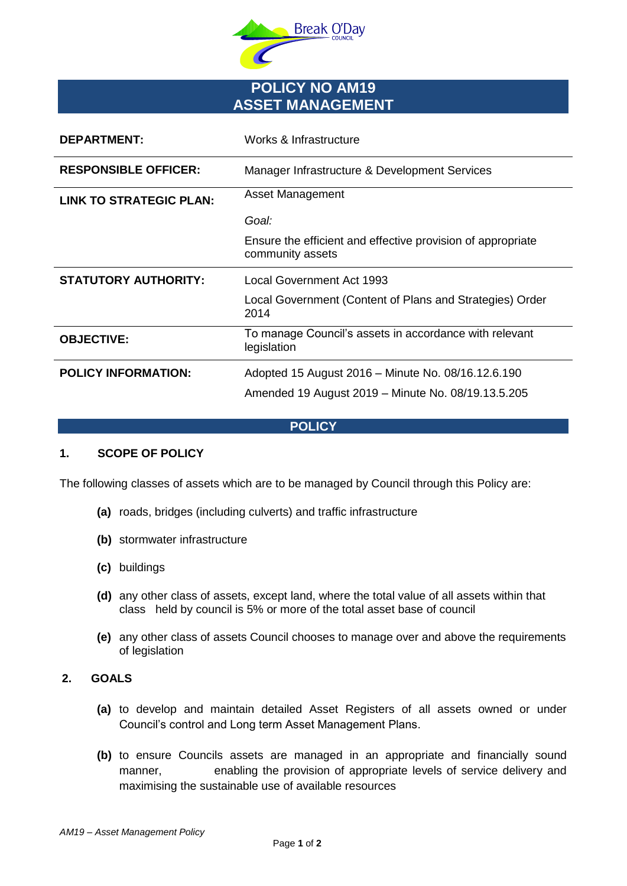

# **POLICY NO AM19 ASSET MANAGEMENT**

| <b>DEPARTMENT:</b>             | Works & Infrastructure                                                                                   |
|--------------------------------|----------------------------------------------------------------------------------------------------------|
| <b>RESPONSIBLE OFFICER:</b>    | Manager Infrastructure & Development Services                                                            |
| <b>LINK TO STRATEGIC PLAN:</b> | Asset Management                                                                                         |
|                                | Goal:                                                                                                    |
|                                | Ensure the efficient and effective provision of appropriate<br>community assets                          |
|                                |                                                                                                          |
| <b>STATUTORY AUTHORITY:</b>    | <b>Local Government Act 1993</b>                                                                         |
|                                | Local Government (Content of Plans and Strategies) Order<br>2014                                         |
| <b>OBJECTIVE:</b>              | To manage Council's assets in accordance with relevant<br>legislation                                    |
| <b>POLICY INFORMATION:</b>     | Adopted 15 August 2016 - Minute No. 08/16.12.6.190<br>Amended 19 August 2019 - Minute No. 08/19.13.5.205 |

## **POLICY**

## **1. SCOPE OF POLICY**

The following classes of assets which are to be managed by Council through this Policy are:

- **(a)** roads, bridges (including culverts) and traffic infrastructure
- **(b)** stormwater infrastructure
- **(c)** buildings
- **(d)** any other class of assets, except land, where the total value of all assets within that class held by council is 5% or more of the total asset base of council
- **(e)** any other class of assets Council chooses to manage over and above the requirements of legislation

## **2. GOALS**

- **(a)** to develop and maintain detailed Asset Registers of all assets owned or under Council's control and Long term Asset Management Plans.
- **(b)** to ensure Councils assets are managed in an appropriate and financially sound manner, enabling the provision of appropriate levels of service delivery and maximising the sustainable use of available resources